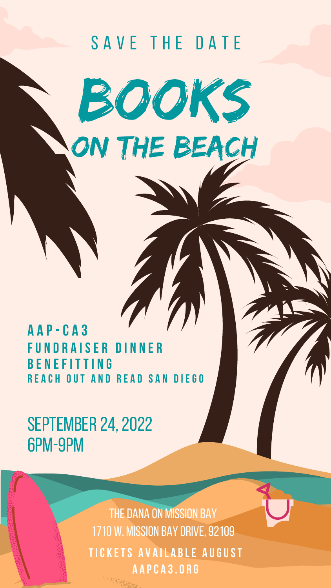

BOOKS

# **SEPTEMBER 24, 2022** 6pm-9pm

## **A A P - C A 3 FU N D R A I S E R D I N N E R B E N E F I T T I N G**

THE DANA ON MISSION BAY 1710 W. mission bay drive,92109 **TIC K ETS A V A IL A B LE A UGUST A A PC A 3.O R G**

**R E A C H OUT A N D R E A D S A N D I EGO**

ON THE BEACH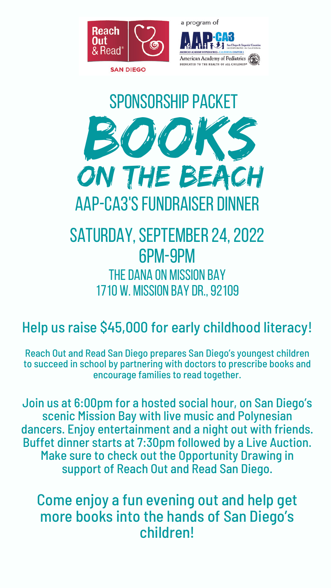

a program of



American Academy of Pediatrics DEDICATED TO THE HEALTH OF ALL CHILDREN



# BOOKS ON THE BEACH SPONSORSHIP PACKET AAP-CA3'S FUNDRAISER DINNER

# SATURDAY, SEPTEMBER 24, 2022 6pm-9pm THE DANA ON MISSION BAY 1710 W. mission bay Dr.,92109

# Help us raise \$45,000 for early childhood literacy!

Reach Out and Read San Diego prepares San Diego's youngest children to succeed in school by partnering with doctors to prescribe books and encourage families to read together.

Join us at 6:00pm for a hosted social hour, on San Diego's scenic Mission Bay with live music and Polynesian dancers. Enjoy entertainment and a night out with friends. Buffet dinner starts at 7:30pm followed by a Live Auction. Make sure to check out the Opportunity Drawing in support of Reach Out and Read San Diego.

Come enjoy a fun evening out and help get more books into the hands of San Diego's children!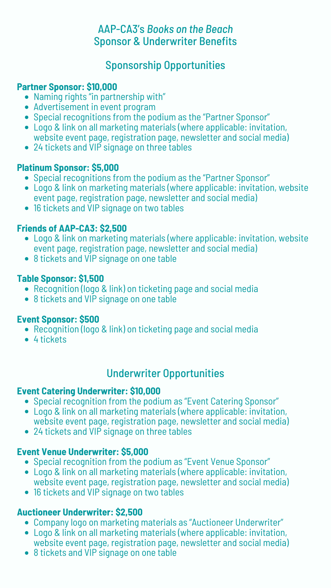### AAP-CA3's *Books on the Beach* Sponsor & Underwriter Benefits

## Sponsorship Opportunities

- Naming rights "in partnership with"
- Advertisement in event program
- Special recognitions from the podium as the "Partner Sponsor"
- Logo & link on all marketing materials (where applicable: invitation, website event page, registration page, newsletter and social media)
- 24 tickets and VIP signage on three tables

- Logo & link on marketing materials (where applicable: invitation, website event page, registration page, newsletter and social media)
- 8 tickets and VIP signage on one table

- Recognition (logo & link) on ticketing page and social media
- 8 tickets and VIP signage on one table

- Recognition (logo & link) on ticketing page and social media
- 4 tickets
- Special recognitions from the podium as the "Partner Sponsor"
- Logo & link on marketing materials (where applicable: invitation, website event page, registration page, newsletter and social media)
- 16 tickets and VIP signage on two tables

- Special recognition from the podium as "Event Catering Sponsor"
- Logo & link on all marketing materials (where applicable: invitation, website event page, registration page, newsletter and social media)
- 24 tickets and VIP signage on three tables

#### **Partner Sponsor: \$10,000**

#### **Platinum Sponsor: \$5,000**

#### **Friends of AAP-CA3: \$2,500**

#### **Table Sponsor: \$1,500**

#### **Event Sponsor: \$500**

#### Underwriter Opportunities

- Special recognition from the podium as "Event Venue Sponsor"
- Logo & link on all marketing materials (where applicable: invitation, website event page, registration page, newsletter and social media)
- 16 tickets and VIP signage on two tables

- Company logo on marketing materials as "Auctioneer Underwriter"
- Logo & link on all marketing materials (where applicable: invitation, website event page, registration page, newsletter and social media)
- 8 tickets and VIP signage on one table

#### **Event Catering Underwriter: \$10,000**

#### **Event Venue Underwriter: \$5,000**

#### **Auctioneer Underwriter: \$2,500**